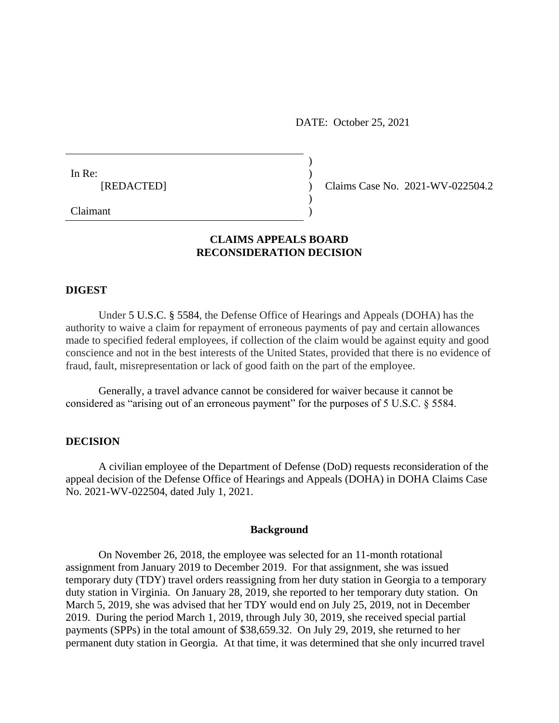DATE: October 25, 2021

| In Re:     |  |
|------------|--|
| [REDACTED] |  |
|            |  |

(b) Claims Case No. 2021-WV-022504.2

Claimant )

# **CLAIMS APPEALS BOARD RECONSIDERATION DECISION**

)

### **DIGEST**

Under [5 U.S.C. § 5584,](https://a.next.westlaw.com/Link/Document/FullText?findType=L&pubNum=1000546&cite=5USCAS5584&originatingDoc=Ic5cf391e4e1411e18b05fdf15589d8e8&refType=LQ&originationContext=document&transitionType=DocumentItem&contextData=(sc.Search)) the Defense Office of Hearings and Appeals (DOHA) has the authority to waive a claim for repayment of erroneous payments of pay and certain allowances made to specified federal employees, if collection of the claim would be against equity and good conscience and not in the best interests of the United States, provided that there is no evidence of fraud, fault, misrepresentation or lack of good faith on the part of the employee.

Generally, a travel advance cannot be considered for waiver because it cannot be considered as "arising out of an erroneous payment" for the purposes of 5 U.S.C. § 5584.

## **DECISION**

A civilian employee of the Department of Defense (DoD) requests reconsideration of the appeal decision of the Defense Office of Hearings and Appeals (DOHA) in DOHA Claims Case No. 2021-WV-022504, dated July 1, 2021.

#### **Background**

On November 26, 2018, the employee was selected for an 11-month rotational assignment from January 2019 to December 2019. For that assignment, she was issued temporary duty (TDY) travel orders reassigning from her duty station in Georgia to a temporary duty station in Virginia. On January 28, 2019, she reported to her temporary duty station. On March 5, 2019, she was advised that her TDY would end on July 25, 2019, not in December 2019. During the period March 1, 2019, through July 30, 2019, she received special partial payments (SPPs) in the total amount of \$38,659.32. On July 29, 2019, she returned to her permanent duty station in Georgia. At that time, it was determined that she only incurred travel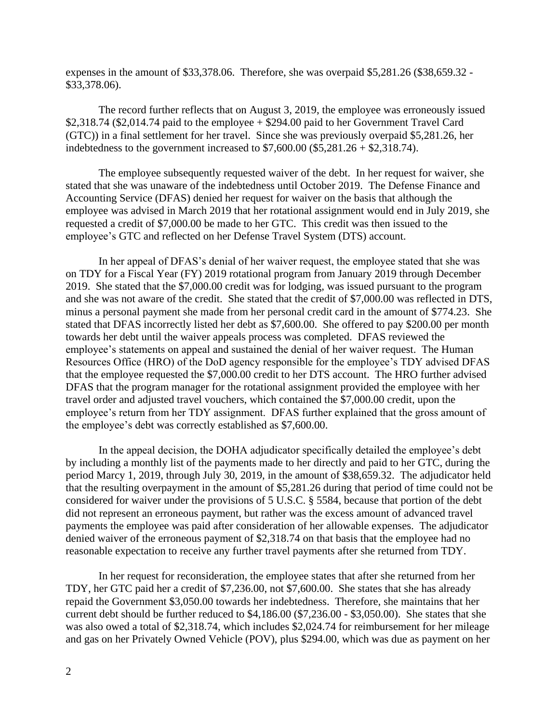expenses in the amount of \$33,378.06. Therefore, she was overpaid \$5,281.26 (\$38,659.32 - \$33,378.06).

The record further reflects that on August 3, 2019, the employee was erroneously issued  $$2,318.74$  (\$2,014.74 paid to the employee  $+$  \$294.00 paid to her Government Travel Card (GTC)) in a final settlement for her travel. Since she was previously overpaid \$5,281.26, her indebtedness to the government increased to  $$7,600.00$  ( $$5,281.26 + $2,318.74$ ).

The employee subsequently requested waiver of the debt. In her request for waiver, she stated that she was unaware of the indebtedness until October 2019. The Defense Finance and Accounting Service (DFAS) denied her request for waiver on the basis that although the employee was advised in March 2019 that her rotational assignment would end in July 2019, she requested a credit of \$7,000.00 be made to her GTC. This credit was then issued to the employee's GTC and reflected on her Defense Travel System (DTS) account.

In her appeal of DFAS's denial of her waiver request, the employee stated that she was on TDY for a Fiscal Year (FY) 2019 rotational program from January 2019 through December 2019. She stated that the \$7,000.00 credit was for lodging, was issued pursuant to the program and she was not aware of the credit. She stated that the credit of \$7,000.00 was reflected in DTS, minus a personal payment she made from her personal credit card in the amount of \$774.23. She stated that DFAS incorrectly listed her debt as \$7,600.00. She offered to pay \$200.00 per month towards her debt until the waiver appeals process was completed. DFAS reviewed the employee's statements on appeal and sustained the denial of her waiver request. The Human Resources Office (HRO) of the DoD agency responsible for the employee's TDY advised DFAS that the employee requested the \$7,000.00 credit to her DTS account. The HRO further advised DFAS that the program manager for the rotational assignment provided the employee with her travel order and adjusted travel vouchers, which contained the \$7,000.00 credit, upon the employee's return from her TDY assignment. DFAS further explained that the gross amount of the employee's debt was correctly established as \$7,600.00.

In the appeal decision, the DOHA adjudicator specifically detailed the employee's debt by including a monthly list of the payments made to her directly and paid to her GTC, during the period Marcy 1, 2019, through July 30, 2019, in the amount of \$38,659.32. The adjudicator held that the resulting overpayment in the amount of \$5,281.26 during that period of time could not be considered for waiver under the provisions of 5 U.S.C. § 5584, because that portion of the debt did not represent an erroneous payment, but rather was the excess amount of advanced travel payments the employee was paid after consideration of her allowable expenses. The adjudicator denied waiver of the erroneous payment of \$2,318.74 on that basis that the employee had no reasonable expectation to receive any further travel payments after she returned from TDY.

In her request for reconsideration, the employee states that after she returned from her TDY, her GTC paid her a credit of \$7,236.00, not \$7,600.00. She states that she has already repaid the Government \$3,050.00 towards her indebtedness. Therefore, she maintains that her current debt should be further reduced to \$4,186.00 (\$7,236.00 - \$3,050.00). She states that she was also owed a total of \$2,318.74, which includes \$2,024.74 for reimbursement for her mileage and gas on her Privately Owned Vehicle (POV), plus \$294.00, which was due as payment on her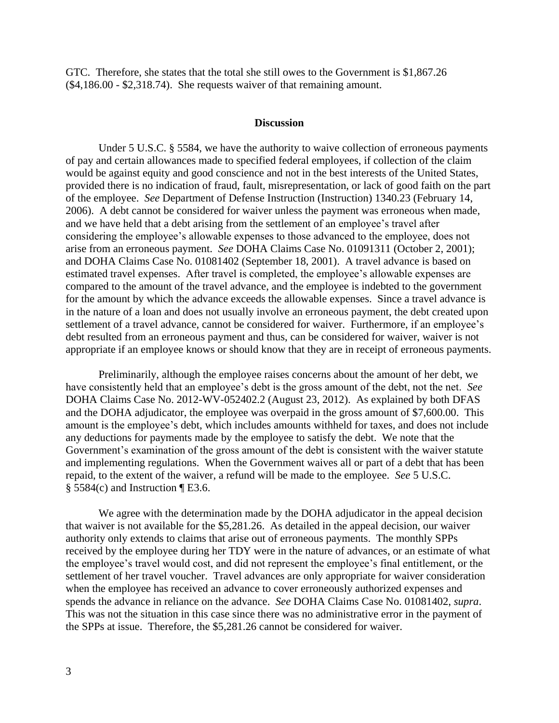GTC. Therefore, she states that the total she still owes to the Government is \$1,867.26 (\$4,186.00 - \$2,318.74). She requests waiver of that remaining amount.

#### **Discussion**

Under 5 U.S.C. § 5584, we have the authority to waive collection of erroneous payments of pay and certain allowances made to specified federal employees, if collection of the claim would be against equity and good conscience and not in the best interests of the United States, provided there is no indication of fraud, fault, misrepresentation, or lack of good faith on the part of the employee. *See* Department of Defense Instruction (Instruction) 1340.23 (February 14, 2006). A debt cannot be considered for waiver unless the payment was erroneous when made, and we have held that a debt arising from the settlement of an employee's travel after considering the employee's allowable expenses to those advanced to the employee, does not arise from an erroneous payment. *See* DOHA Claims Case No. 01091311 (October 2, 2001); and DOHA Claims Case No. 01081402 (September 18, 2001). A travel advance is based on estimated travel expenses. After travel is completed, the employee's allowable expenses are compared to the amount of the travel advance, and the employee is indebted to the government for the amount by which the advance exceeds the allowable expenses. Since a travel advance is in the nature of a loan and does not usually involve an erroneous payment, the debt created upon settlement of a travel advance, cannot be considered for waiver. Furthermore, if an employee's debt resulted from an erroneous payment and thus, can be considered for waiver, waiver is not appropriate if an employee knows or should know that they are in receipt of erroneous payments.

Preliminarily, although the employee raises concerns about the amount of her debt, we have consistently held that an employee's debt is the gross amount of the debt, not the net. *See* DOHA Claims Case No. 2012-WV-052402.2 (August 23, 2012). As explained by both DFAS and the DOHA adjudicator, the employee was overpaid in the gross amount of \$7,600.00. This amount is the employee's debt, which includes amounts withheld for taxes, and does not include any deductions for payments made by the employee to satisfy the debt. We note that the Government's examination of the gross amount of the debt is consistent with the waiver statute and implementing regulations. When the Government waives all or part of a debt that has been repaid, to the extent of the waiver, a refund will be made to the employee. *See* 5 U.S.C.  $§$  5584(c) and Instruction ¶ E3.6.

We agree with the determination made by the DOHA adjudicator in the appeal decision that waiver is not available for the \$5,281.26. As detailed in the appeal decision, our waiver authority only extends to claims that arise out of erroneous payments. The monthly SPPs received by the employee during her TDY were in the nature of advances, or an estimate of what the employee's travel would cost, and did not represent the employee's final entitlement, or the settlement of her travel voucher. Travel advances are only appropriate for waiver consideration when the employee has received an advance to cover erroneously authorized expenses and spends the advance in reliance on the advance. *See* DOHA Claims Case No. 01081402, *supra*. This was not the situation in this case since there was no administrative error in the payment of the SPPs at issue. Therefore, the \$5,281.26 cannot be considered for waiver.